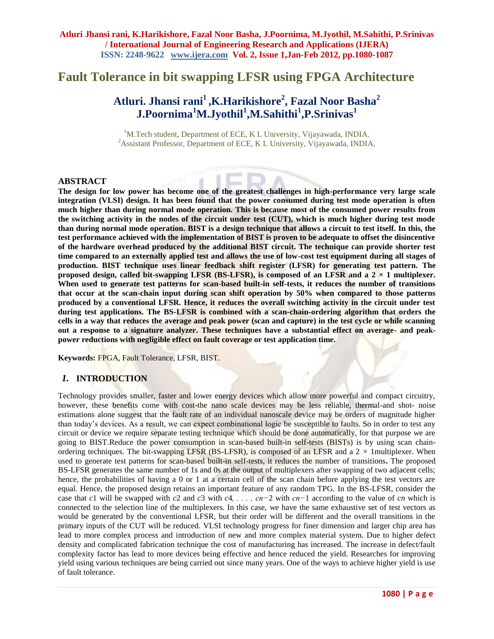## **Fault Tolerance in bit swapping LFSR using FPGA Architecture**

# **Atluri. Jhansi rani<sup>1</sup> ,K.Harikishore<sup>2</sup> , Fazal Noor Basha<sup>2</sup> J.Poornima<sup>1</sup>M.Jyothil<sup>1</sup> ,M.Sahithi<sup>1</sup> ,P.Srinivas<sup>1</sup>**

<sup>1</sup>M.Tech student, Department of ECE, K L University, Vijayawada, INDIA. <sup>2</sup> Assistant Professor, Department of ECE, K L University, Vijayawada, INDIA.

#### **ABSTRACT**

**The design for low power has become one of the greatest challenges in high-performance very large scale integration (VLSI) design. It has been found that the power consumed during test mode operation is often much higher than during normal mode operation. This is because most of the consumed power results from the switching activity in the nodes of the circuit under test (CUT), which is much higher during test mode than during normal mode operation. BIST is a design technique that allows a circuit to test itself. In this, the test performance achieved with the implementation of BIST is proven to be adequate to offset the disincentive of the hardware overhead produced by the additional BIST circuit. The technique can provide shorter test time compared to an externally applied test and allows the use of low-cost test equipment during all stages of production. BIST technique uses linear feedback shift register (LFSR) for generating test pattern. The**  proposed design, called bit-swapping LFSR (BS-LFSR), is composed of an LFSR and a  $2 \times 1$  multiplexer. **When used to generate test patterns for scan-based built-in self-tests, it reduces the number of transitions that occur at the scan-chain input during scan shift operation by 50% when compared to those patterns produced by a conventional LFSR. Hence, it reduces the overall switching activity in the circuit under test during test applications. The BS-LFSR is combined with a scan-chain-ordering algorithm that orders the cells in a way that reduces the average and peak power (scan and capture) in the test cycle or while scanning out a response to a signature analyzer. These techniques have a substantial effect on average- and peakpower reductions with negligible effect on fault coverage or test application time.**

**Keywords:** FPGA, Fault Tolerance, LFSR, BIST.

#### *1.* **INTRODUCTION**

Technology provides smaller, faster and lower energy devices which allow more powerful and compact circuitry, however, these benefits come with cost-the nano scale devices may be less reliable, thermal-and shot- noise estimations alone suggest that the fault rate of an individual nanoscale device may be orders of magnitude higher than today"s devices. As a result, we can expect combinational logic be susceptible to faults. So in order to test any circuit or device we require separate testing technique which should be done automatically, for that purpose we are going to BIST.Reduce the power consumption in scan-based built-in self-tests (BISTs) is by using scan chainordering techniques. The bit-swapping LFSR (BS-LFSR), is composed of an LFSR and a  $2 \times 1$ multiplexer. When used to generate test patterns for scan-based built-in self-tests, it reduces the number of transitions**.** The proposed BS-LFSR generates the same number of 1s and 0s at the output of multiplexers after swapping of two adjacent cells; hence, the probabilities of having a 0 or 1 at a certain cell of the scan chain before applying the test vectors are equal. Hence, the proposed design retains an important feature of any random TPG. In the BS-LFSR, consider the case that *c*1 will be swapped with *c*2 and *c*3 with *c*4*, . . . , cn−*2 with *cn−*1 according to the value of *cn* which is connected to the selection line of the multiplexers. In this case, we have the same exhaustive set of test vectors as would be generated by the conventional LFSR, but their order will be different and the overall transitions in the primary inputs of the CUT will be reduced. VLSI technology progress for finer dimension and larger chip area has lead to more complex process and introduction of new and more complex material system. Due to higher defect density and complicated fabrication technique the cost of manufacturing has increased. The increase in defect/fault complexity factor has lead to more devices being effective and hence reduced the yield. Researches for improving yield using various techniques are being carried out since many years. One of the ways to achieve higher yield is use of fault tolerance.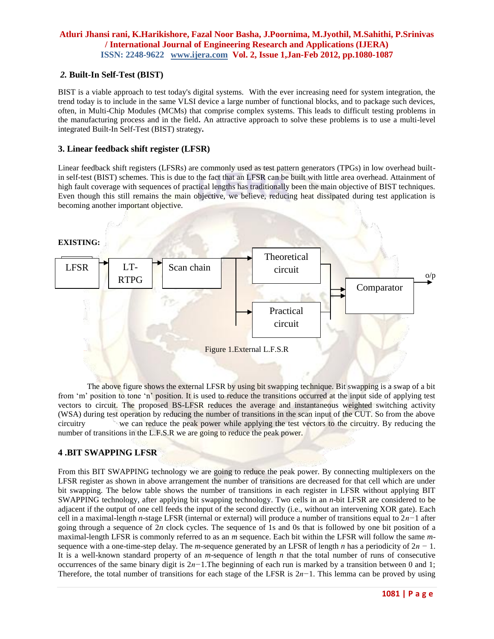#### *2.* **Built-In Self-Test (BIST)**

BIST is a viable approach to test today's digital systems. With the ever increasing need for system integration, the trend today is to include in the same VLSI device a large number of functional blocks, and to package such devices, often, in Multi-Chip Modules (MCMs) that comprise complex systems. This leads to difficult testing problems in the manufacturing process and in the field**.** An attractive approach to solve these problems is to use a multi-level integrated Built-In Self-Test (BIST) strategy**.**

#### **3. Linear feedback shift register (LFSR)**

Linear feedback shift registers (LFSRs) are commonly used as test pattern generators (TPGs) in low overhead builtin self-test (BIST) schemes. This is due to the fact that an LFSR can be built with little area overhead. Attainment of high fault coverage with sequences of practical lengths has traditionally been the main objective of BIST techniques. Even though this still remains the main objective, we believe, reducing heat dissipated during test application is becoming another important objective.



The above figure shows the external LFSR by using bit swapping technique. Bit swapping is a swap of a bit from 'm' position to tone 'n' position. It is used to reduce the transitions occurred at the input side of applying test vectors to circuit. The proposed BS-LFSR reduces the average and instantaneous weighted switching activity (WSA) during test operation by reducing the number of transitions in the scan input of the CUT. So from the above circuitry we can reduce the peak power while applying the test vectors to the circuitry. By reducing the number of transitions in the L.F.S.R we are going to reduce the peak power.

## **4 .BIT SWAPPING LFSR**

From this BIT SWAPPING technology we are going to reduce the peak power. By connecting multiplexers on the LFSR register as shown in above arrangement the number of transitions are decreased for that cell which are under bit swapping. The below table shows the number of transitions in each register in LFSR without applying BIT SWAPPING technology, after applying bit swapping technology. Two cells in an *n*-bit LFSR are considered to be adjacent if the output of one cell feeds the input of the second directly (i.e., without an intervening XOR gate). Each cell in a maximal-length *n*-stage LFSR (internal or external) will produce a number of transitions equal to 2*n−*1 after going through a sequence of 2*n* clock cycles. The sequence of 1s and 0s that is followed by one bit position of a maximal-length LFSR is commonly referred to as an *m* sequence. Each bit within the LFSR will follow the same *m*sequence with a one-time-step delay. The *m*-sequence generated by an LFSR of length *n* has a periodicity of 2*n −* 1. It is a well-known standard property of an *m*-sequence of length *n* that the total number of runs of consecutive occurrences of the same binary digit is 2*n−*1.The beginning of each run is marked by a transition between 0 and 1; Therefore, the total number of transitions for each stage of the LFSR is 2*n−*1. This lemma can be proved by using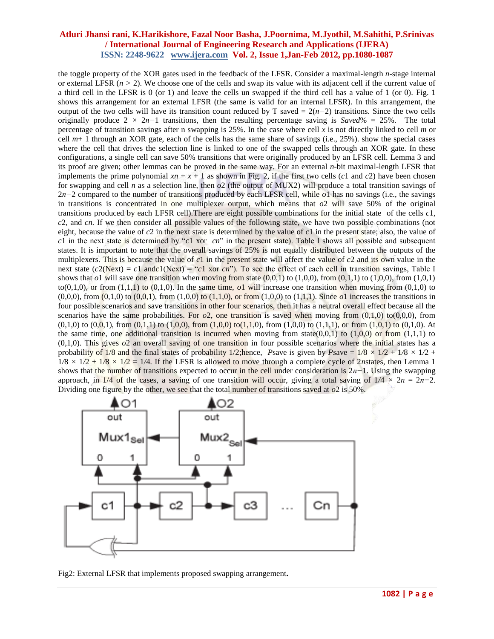the toggle property of the XOR gates used in the feedback of the LFSR. Consider a maximal-length *n*-stage internal or external LFSR  $(n > 2)$ . We choose one of the cells and swap its value with its adjacent cell if the current value of a third cell in the LFSR is 0 (or 1) and leave the cells un swapped if the third cell has a value of 1 (or 0). Fig. 1 shows this arrangement for an external LFSR (the same is valid for an internal LFSR). In this arrangement, the output of the two cells will have its transition count reduced by T saved =  $2(n-2)$  transitions. Since the two cells originally produce 2 *×* 2*n−*1 transitions, then the resulting percentage saving is *Saved*% = 25%. The total percentage of transition savings after n swapping is 25%. In the case where cell *x* is not directly linked to cell *m* or cell  $m+1$  through an XOR gate, each of the cells has the same share of savings (i.e., 25%). show the special cases where the cell that drives the selection line is linked to one of the swapped cells through an XOR gate. In these configurations, a single cell can save 50% transitions that were originally produced by an LFSR cell. Lemma 3 and its proof are given; other lemmas can be proved in the same way. For an external *n*-bit maximal-length LFSR that implements the prime polynomial  $xn + x + 1$  as shown in Fig. 2, if the first two cells ( $c1$  and  $c2$ ) have been chosen for swapping and cell *n* as a selection line, then *o*2 (the output of MUX2) will produce a total transition savings of 2*n−*2 compared to the number of transitions produced by each LFSR cell, while *o*1 has no savings (i.e., the savings in transitions is concentrated in one multiplexer output, which means that  $\partial$ 2 will save 50% of the original transitions produced by each LFSR cell).There are eight possible combinations for the initial state of the cells *c*1, *c*2, and *cn.* If we then consider all possible values of the following state, we have two possible combinations (not eight, because the value of *c*2 in the next state is determined by the value of *c*1 in the present state; also, the value of *c*1 in the next state is determined by "*c*1 xor *cn*" in the present state). Table I shows all possible and subsequent states. It is important to note that the overall savings of 25% is not equally distributed between the outputs of the multiplexers. This is because the value of *c*1 in the present state will affect the value of *c*2 and its own value in the next state  $(c2(Next) = c1$  and  $c1(Next) = c1$  xor  $cn$ "). To see the effect of each cell in transition savings, Table I shows that  $o1$  will save one transition when moving from state  $(0,0,1)$  to  $(1,0,0)$ , from  $(0,1,1)$  to  $(1,0,0)$ , from  $(1,0,1)$ to(0,1,0), or from  $(1,1,1)$  to  $(0,1,0)$ . In the same time,  $\rho_1$  will increase one transition when moving from  $(0,1,0)$  to  $(0,0,0)$ , from  $(0,1,0)$  to  $(0,0,1)$ , from  $(1,0,0)$  to  $(1,1,0)$ , or from  $(1,0,0)$  to  $(1,1,1)$ . Since *o*1 increases the transitions in four possible scenarios and save transitions in other four scenarios, then it has a neutral overall effect because all the scenarios have the same probabilities. For  $\sigma^2$ , one transition is saved when moving from (0,1,0) to(0,0,0), from  $(0,1,0)$  to  $(0,0,1)$ , from  $(0,1,1)$  to  $(1,0,0)$ , from  $(1,0,0)$  to $(1,1,0)$ , from  $(1,0,0)$  to  $(1,1,1)$ , or from  $(1,0,1)$  to  $(0,1,0)$ . At the same time, one additional transition is incurred when moving from state( $0,0,1$ ) to  $(1,0,0)$  or from  $(1,1,1)$  to (0,1,0). This gives *o*2 an overall saving of one transition in four possible scenarios where the initial states has a probability of 1/8 and the final states of probability 1/2; hence, *Psave* is given by *Psave* =  $1/8 \times 1/2 + 1/8 \times 1/2 +$  $1/8 \times 1/2 + 1/8 \times 1/2 = 1/4$ . If the LFSR is allowed to move through a complete cycle of 2*n*states, then Lemma 1 shows that the number of transitions expected to occur in the cell under consideration is 2*n−*1. Using the swapping approach, in  $1/4$  of the cases, a saving of one transition will occur, giving a total saving of  $1/4 \times 2n = 2n-2$ . Dividing one figure by the other, we see that the total number of transitions saved at *o*2 is 50%.



Fig2: External LFSR that implements proposed swapping arrangement**.**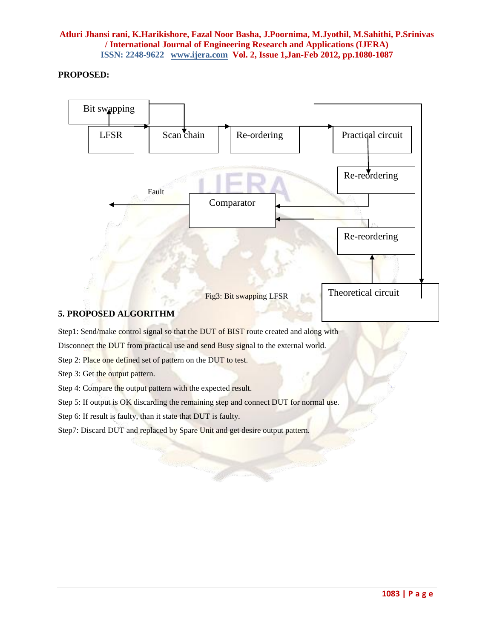## **PROPOSED:**



Step 2: Place one defined set of pattern on the DUT to test.

Step 3: Get the output pattern.

Step 4: Compare the output pattern with the expected result.

Step 5: If output is OK discarding the remaining step and connect DUT for normal use.

Step 6: If result is faulty, than it state that DUT is faulty.

Step7: Discard DUT and replaced by Spare Unit and get desire output pattern.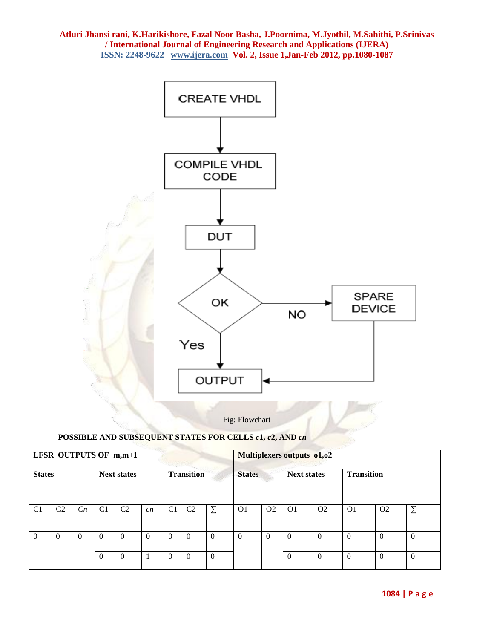

Fig: Flowchart

## **POSSIBLE AND SUBSEQUENT STATES FOR CELLS** *c***1,** *c***2, AND** *cn*

| LFSR OUTPUTS OF m,m+1 |                |                |                    |                |          |                   |                |          | Multiplexers outputs 01,02 |                |                    |                |                   |                |                |  |
|-----------------------|----------------|----------------|--------------------|----------------|----------|-------------------|----------------|----------|----------------------------|----------------|--------------------|----------------|-------------------|----------------|----------------|--|
| <b>States</b>         |                |                | <b>Next states</b> |                |          | <b>Transition</b> |                |          | <b>States</b>              |                | <b>Next states</b> |                | <b>Transition</b> |                |                |  |
| C <sub>1</sub>        | C <sub>2</sub> | C <sub>n</sub> | C <sub>1</sub>     | C <sub>2</sub> | cn       | C <sub>1</sub>    | C <sub>2</sub> | Σ        | O <sub>1</sub>             | O <sub>2</sub> | O <sub>1</sub>     | O <sub>2</sub> | O <sub>1</sub>    | O <sub>2</sub> | $\sum$         |  |
|                       | $\Omega$       | $\Omega$       | $\Omega$           | $\theta$       | $\Omega$ | $\Omega$          | $\Omega$       | $\theta$ | $\theta$                   | $\Omega$       | $\Omega$           | $\Omega$       | $\Omega$          | $\theta$       | $\Omega$       |  |
|                       |                |                | $\Omega$           | $\theta$       |          | $\Omega$          | $\theta$       | $\theta$ |                            |                | 0                  | $\Omega$       | $\theta$          | $\theta$       | $\overline{0}$ |  |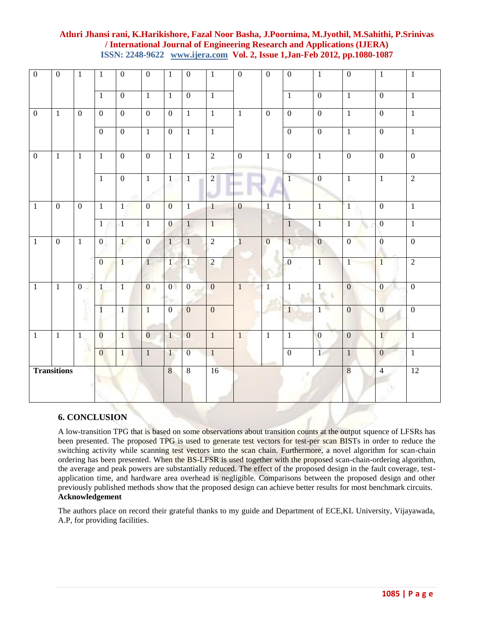| $\mathbf{0}$       | $\overline{0}$ | $\overline{1}$ | $\mathbf{1}$     | $\mathbf{0}$   | $\overline{0}$ | $\mathbf{1}$   | $\mathbf{0}$   | $\mathbf{1}$   | $\overline{0}$ | $\overline{0}$ | $\overline{0}$ | $\mathbf{1}$   | $\boldsymbol{0}$ | $\mathbf{1}$     | $\mathbf{1}$     |
|--------------------|----------------|----------------|------------------|----------------|----------------|----------------|----------------|----------------|----------------|----------------|----------------|----------------|------------------|------------------|------------------|
|                    |                |                | $\mathbf{1}$     | $\mathbf{0}$   | $\overline{1}$ | $\overline{1}$ | $\overline{0}$ | $\overline{1}$ |                |                | $\overline{1}$ | $\overline{0}$ | $\mathbf{1}$     | $\overline{0}$   | $\mathbf{1}$     |
| $\mathbf{0}$       | $\overline{1}$ | $\overline{0}$ | $\overline{0}$   | $\mathbf{0}$   | $\overline{0}$ | $\overline{0}$ | $\mathbf{1}$   | $\overline{1}$ | $\overline{1}$ | $\overline{0}$ | $\overline{0}$ | $\overline{0}$ | $\mathbf{1}$     | $\overline{0}$   | $\mathbf{1}$     |
|                    |                |                | $\overline{0}$   | $\overline{0}$ | $\overline{1}$ | $\overline{0}$ | $\mathbf{1}$   | $\overline{1}$ |                |                | $\overline{0}$ | $\overline{0}$ | $\overline{1}$   | $\overline{0}$   | $\mathbf{1}$     |
| $\overline{0}$     | $\overline{1}$ | $\mathbf{1}$   | $\mathbf{1}$     | $\overline{0}$ | $\overline{0}$ | $\mathbf{1}$   | $\mathbf{1}$   | $\overline{2}$ | $\overline{0}$ | $\overline{1}$ | $\overline{0}$ | $\mathbf{1}$   | $\overline{0}$   | $\overline{0}$   | $\overline{0}$   |
|                    |                |                | $\overline{1}$   | $\overline{0}$ | $\overline{1}$ | $\mathbf{1}$   | $\mathbf{1}$   | $\overline{2}$ |                |                | $\mathbf{I}$   | $\overline{0}$ | $\overline{1}$   | $\mathbf{1}$     | $\overline{2}$   |
| $\mathbf{1}$       | $\overline{0}$ | $\overline{0}$ | $\mathbf{1}$     | $\mathbf{1}$   | $\overline{0}$ | $\overline{0}$ | 1              | $\mathbf{1}$   | $\overline{0}$ | $\mathbf{1}$   | $\mathbf{1}$   | $\mathbf{1}$   | $\mathbf{1}$     | $\overline{0}$   | $\mathbf{1}$     |
|                    |                |                | $\mathbf{1}$     | $\,1\,$        | $\mathbf{1}$   | $\overline{0}$ | $\mathbf{1}$   | $\mathbf{1}$   |                |                | $\overline{1}$ | $\overline{1}$ | $\mathbf{1}$     | $\boldsymbol{0}$ | $\mathbf{1}$     |
| $\mathbf{1}$       | $\overline{0}$ | $\overline{1}$ | $\boldsymbol{0}$ | 1              | $\overline{0}$ | 1 <sup>1</sup> | $\mathbf{1}$   | $\overline{2}$ | $\overline{1}$ | $\overline{0}$ | $\mathbf{1}$   | $\mathbf{0}$   | $\overline{0}$   | $\boldsymbol{0}$ | $\overline{0}$   |
|                    |                |                | $\overline{0}$   | 1              | 1              | $\mathbf{1}$   | $\mathbf{1}$   | $\overline{2}$ |                |                | $\mathbf{0}$   | $\overline{1}$ | 1                | $\overline{1}$   | $\overline{2}$   |
| $\mathbf{1}$       | $\overline{1}$ | $\overline{0}$ | $\mathbf{1}$     | $\mathbf{1}$   | $\overline{0}$ | $\overline{0}$ | $\mathbf{0}$   | $\overline{0}$ | $\mathbf{1}$   | $\mathbf{1}$   | $\mathbf{1}$   | $\mathbf{1}$   | $\overline{0}$   | $\overline{0}$   | $\boldsymbol{0}$ |
|                    |                |                | $\mathbf{1}$     | $\mathbf{1}$   | $\overline{1}$ | $\overline{0}$ | $\mathbf{0}$   | $\mathbf{0}$   |                |                | $\mathbf{1}$   | $1 -$          | $\overline{0}$   | $\overline{0}$   | $\overline{0}$   |
| $\mathbf{1}$       | $\overline{1}$ | $\mathbf{1}$   | $\overline{0}$   | $\mathbf{1}$   | $\overline{0}$ | 1              | $\mathbf{0}$   | $\mathbf{1}$   | $\mathbf{1}$   | $\mathbf{1}$   | $\mathbf{1}$   | $\overline{0}$ | $\mathbf{0}$     | $\overline{1}$   | $\mathbf{1}$     |
|                    |                |                | $\overline{0}$   | $\mathbf{1}$   | $\mathbf{1}$   | $\mathbf{1}$   | $\overline{0}$ | $\overline{1}$ |                |                | $\overline{0}$ | 1              | $\mathbf{1}$     | $\boldsymbol{0}$ | $\mathbf{1}$     |
| <b>Transitions</b> |                |                |                  |                |                | $\overline{8}$ | $\,8\,$        | 16             |                |                |                |                | $\,8\,$          | $\overline{4}$   | $\overline{12}$  |

## **6. CONCLUSION**

A low-transition TPG that is based on some observations about transition counts at the output squence of LFSRs has been presented. The proposed TPG is used to generate test vectors for test-per scan BISTs in order to reduce the switching activity while scanning test vectors into the scan chain. Furthermore, a novel algorithm for scan-chain ordering has been presented. When the BS-LFSR is used together with the proposed scan-chain-ordering algorithm, the average and peak powers are substantially reduced. The effect of the proposed design in the fault coverage, testapplication time, and hardware area overhead is negligible. Comparisons between the proposed design and other previously published methods show that the proposed design can achieve better results for most benchmark circuits. **Acknowledgement**

The authors place on record their grateful thanks to my guide and Department of ECE,KL University, Vijayawada, A.P, for providing facilities.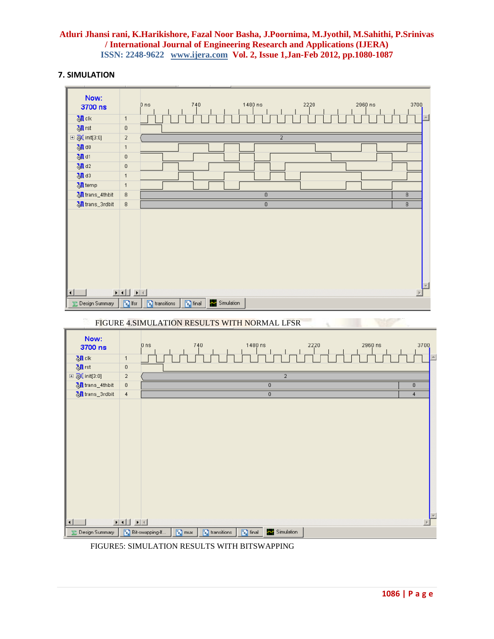## **7. SIMULATION**



FIGURE5: SIMULATION RESULTS WITH BITSWAPPING